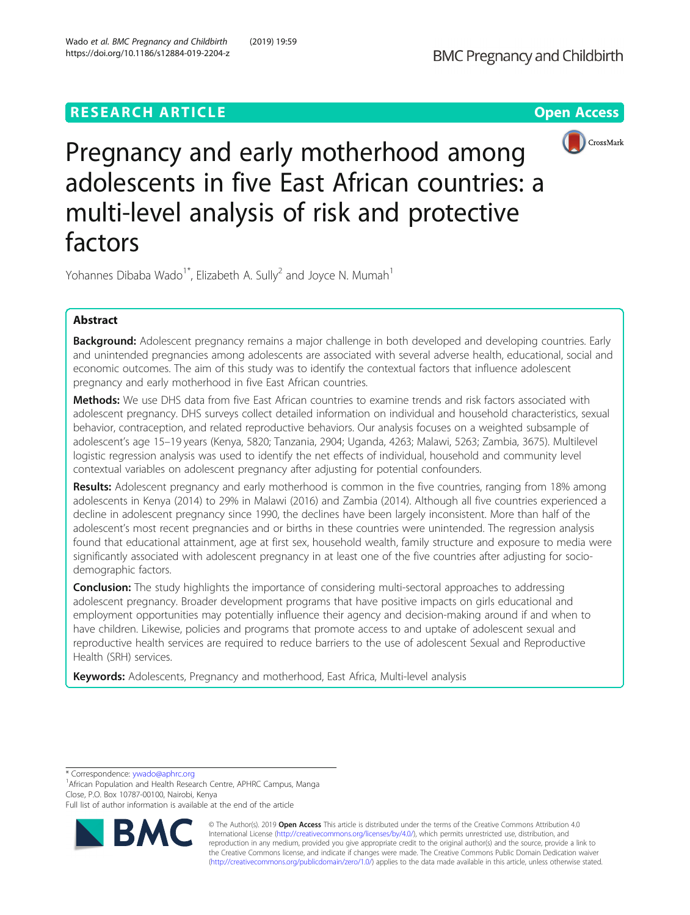# **RESEARCH ARTICLE Example 2018 12:30 THE Open Access**





Pregnancy and early motherhood among adolescents in five East African countries: a multi-level analysis of risk and protective factors

Yohannes Dibaba Wado<sup>1\*</sup>, Elizabeth A. Sully<sup>2</sup> and Joyce N. Mumah<sup>1</sup>

## Abstract

Background: Adolescent pregnancy remains a major challenge in both developed and developing countries. Early and unintended pregnancies among adolescents are associated with several adverse health, educational, social and economic outcomes. The aim of this study was to identify the contextual factors that influence adolescent pregnancy and early motherhood in five East African countries.

Methods: We use DHS data from five East African countries to examine trends and risk factors associated with adolescent pregnancy. DHS surveys collect detailed information on individual and household characteristics, sexual behavior, contraception, and related reproductive behaviors. Our analysis focuses on a weighted subsample of adolescent's age 15–19 years (Kenya, 5820; Tanzania, 2904; Uganda, 4263; Malawi, 5263; Zambia, 3675). Multilevel logistic regression analysis was used to identify the net effects of individual, household and community level contextual variables on adolescent pregnancy after adjusting for potential confounders.

**Results:** Adolescent pregnancy and early motherhood is common in the five countries, ranging from 18% among adolescents in Kenya (2014) to 29% in Malawi (2016) and Zambia (2014). Although all five countries experienced a decline in adolescent pregnancy since 1990, the declines have been largely inconsistent. More than half of the adolescent's most recent pregnancies and or births in these countries were unintended. The regression analysis found that educational attainment, age at first sex, household wealth, family structure and exposure to media were significantly associated with adolescent pregnancy in at least one of the five countries after adjusting for sociodemographic factors.

**Conclusion:** The study highlights the importance of considering multi-sectoral approaches to addressing adolescent pregnancy. Broader development programs that have positive impacts on girls educational and employment opportunities may potentially influence their agency and decision-making around if and when to have children. Likewise, policies and programs that promote access to and uptake of adolescent sexual and reproductive health services are required to reduce barriers to the use of adolescent Sexual and Reproductive Health (SRH) services.

Keywords: Adolescents, Pregnancy and motherhood, East Africa, Multi-level analysis

\* Correspondence: [ywado@aphrc.org](mailto:ywado@aphrc.org) <sup>1</sup>

<sup>1</sup> African Population and Health Research Centre, APHRC Campus, Manga Close, P.O. Box 10787-00100, Nairobi, Kenya

Full list of author information is available at the end of the article



© The Author(s). 2019 **Open Access** This article is distributed under the terms of the Creative Commons Attribution 4.0 International License [\(http://creativecommons.org/licenses/by/4.0/](http://creativecommons.org/licenses/by/4.0/)), which permits unrestricted use, distribution, and reproduction in any medium, provided you give appropriate credit to the original author(s) and the source, provide a link to the Creative Commons license, and indicate if changes were made. The Creative Commons Public Domain Dedication waiver [\(http://creativecommons.org/publicdomain/zero/1.0/](http://creativecommons.org/publicdomain/zero/1.0/)) applies to the data made available in this article, unless otherwise stated.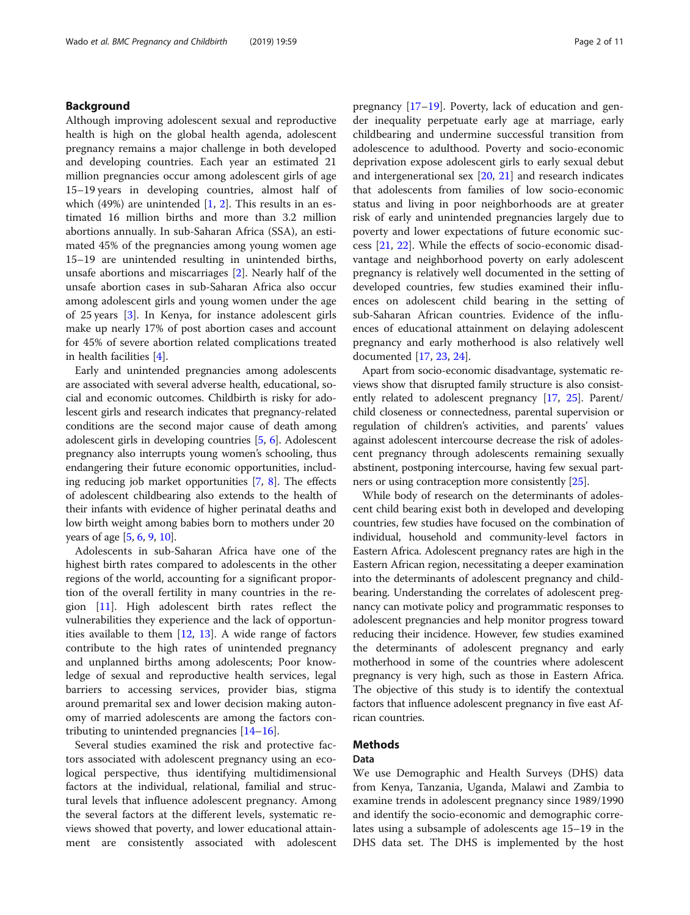## Background

Although improving adolescent sexual and reproductive health is high on the global health agenda, adolescent pregnancy remains a major challenge in both developed and developing countries. Each year an estimated 21 million pregnancies occur among adolescent girls of age 15–19 years in developing countries, almost half of which  $(49%)$  are unintended  $[1, 2]$  $[1, 2]$  $[1, 2]$  $[1, 2]$ . This results in an estimated 16 million births and more than 3.2 million abortions annually. In sub-Saharan Africa (SSA), an estimated 45% of the pregnancies among young women age 15–19 are unintended resulting in unintended births, unsafe abortions and miscarriages [[2\]](#page-10-0). Nearly half of the unsafe abortion cases in sub-Saharan Africa also occur among adolescent girls and young women under the age of 25 years [[3\]](#page-10-0). In Kenya, for instance adolescent girls make up nearly 17% of post abortion cases and account for 45% of severe abortion related complications treated in health facilities [\[4\]](#page-10-0).

Early and unintended pregnancies among adolescents are associated with several adverse health, educational, social and economic outcomes. Childbirth is risky for adolescent girls and research indicates that pregnancy-related conditions are the second major cause of death among adolescent girls in developing countries [[5,](#page-10-0) [6\]](#page-10-0). Adolescent pregnancy also interrupts young women's schooling, thus endangering their future economic opportunities, including reducing job market opportunities [[7,](#page-10-0) [8](#page-10-0)]. The effects of adolescent childbearing also extends to the health of their infants with evidence of higher perinatal deaths and low birth weight among babies born to mothers under 20 years of age [[5,](#page-10-0) [6](#page-10-0), [9,](#page-10-0) [10](#page-10-0)].

Adolescents in sub-Saharan Africa have one of the highest birth rates compared to adolescents in the other regions of the world, accounting for a significant proportion of the overall fertility in many countries in the region [[11\]](#page-10-0). High adolescent birth rates reflect the vulnerabilities they experience and the lack of opportunities available to them  $[12, 13]$  $[12, 13]$  $[12, 13]$ . A wide range of factors contribute to the high rates of unintended pregnancy and unplanned births among adolescents; Poor knowledge of sexual and reproductive health services, legal barriers to accessing services, provider bias, stigma around premarital sex and lower decision making autonomy of married adolescents are among the factors contributing to unintended pregnancies [[14](#page-10-0)–[16](#page-10-0)].

Several studies examined the risk and protective factors associated with adolescent pregnancy using an ecological perspective, thus identifying multidimensional factors at the individual, relational, familial and structural levels that influence adolescent pregnancy. Among the several factors at the different levels, systematic reviews showed that poverty, and lower educational attainment are consistently associated with adolescent pregnancy [[17](#page-10-0)–[19](#page-10-0)]. Poverty, lack of education and gender inequality perpetuate early age at marriage, early childbearing and undermine successful transition from adolescence to adulthood. Poverty and socio-economic deprivation expose adolescent girls to early sexual debut and intergenerational sex  $[20, 21]$  $[20, 21]$  $[20, 21]$  $[20, 21]$  and research indicates that adolescents from families of low socio-economic status and living in poor neighborhoods are at greater risk of early and unintended pregnancies largely due to poverty and lower expectations of future economic success [[21](#page-10-0), [22\]](#page-10-0). While the effects of socio-economic disadvantage and neighborhood poverty on early adolescent pregnancy is relatively well documented in the setting of developed countries, few studies examined their influences on adolescent child bearing in the setting of sub-Saharan African countries. Evidence of the influences of educational attainment on delaying adolescent pregnancy and early motherhood is also relatively well documented [[17](#page-10-0), [23](#page-10-0), [24](#page-10-0)].

Apart from socio-economic disadvantage, systematic reviews show that disrupted family structure is also consistently related to adolescent pregnancy [\[17,](#page-10-0) [25\]](#page-10-0). Parent/ child closeness or connectedness, parental supervision or regulation of children's activities, and parents' values against adolescent intercourse decrease the risk of adolescent pregnancy through adolescents remaining sexually abstinent, postponing intercourse, having few sexual partners or using contraception more consistently [\[25\]](#page-10-0).

While body of research on the determinants of adolescent child bearing exist both in developed and developing countries, few studies have focused on the combination of individual, household and community-level factors in Eastern Africa. Adolescent pregnancy rates are high in the Eastern African region, necessitating a deeper examination into the determinants of adolescent pregnancy and childbearing. Understanding the correlates of adolescent pregnancy can motivate policy and programmatic responses to adolescent pregnancies and help monitor progress toward reducing their incidence. However, few studies examined the determinants of adolescent pregnancy and early motherhood in some of the countries where adolescent pregnancy is very high, such as those in Eastern Africa. The objective of this study is to identify the contextual factors that influence adolescent pregnancy in five east African countries.

## Methods

## Data

We use Demographic and Health Surveys (DHS) data from Kenya, Tanzania, Uganda, Malawi and Zambia to examine trends in adolescent pregnancy since 1989/1990 and identify the socio-economic and demographic correlates using a subsample of adolescents age 15–19 in the DHS data set. The DHS is implemented by the host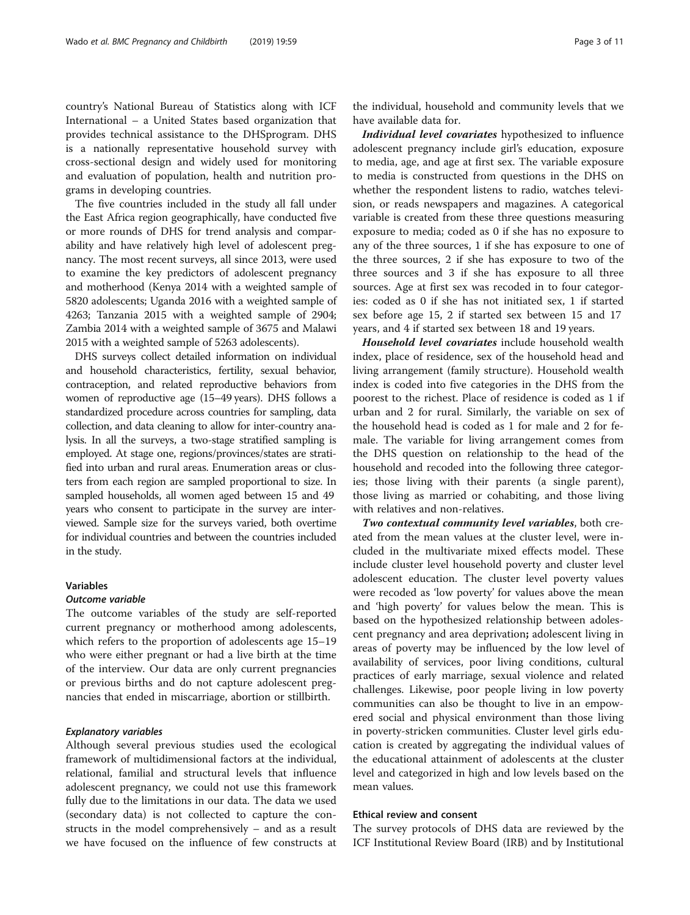country's National Bureau of Statistics along with ICF International – a United States based organization that provides technical assistance to the DHSprogram. DHS is a nationally representative household survey with cross-sectional design and widely used for monitoring and evaluation of population, health and nutrition programs in developing countries.

The five countries included in the study all fall under the East Africa region geographically, have conducted five or more rounds of DHS for trend analysis and comparability and have relatively high level of adolescent pregnancy. The most recent surveys, all since 2013, were used to examine the key predictors of adolescent pregnancy and motherhood (Kenya 2014 with a weighted sample of 5820 adolescents; Uganda 2016 with a weighted sample of 4263; Tanzania 2015 with a weighted sample of 2904; Zambia 2014 with a weighted sample of 3675 and Malawi 2015 with a weighted sample of 5263 adolescents).

DHS surveys collect detailed information on individual and household characteristics, fertility, sexual behavior, contraception, and related reproductive behaviors from women of reproductive age (15–49 years). DHS follows a standardized procedure across countries for sampling, data collection, and data cleaning to allow for inter-country analysis. In all the surveys, a two-stage stratified sampling is employed. At stage one, regions/provinces/states are stratified into urban and rural areas. Enumeration areas or clusters from each region are sampled proportional to size. In sampled households, all women aged between 15 and 49 years who consent to participate in the survey are interviewed. Sample size for the surveys varied, both overtime for individual countries and between the countries included in the study.

## Variables

## Outcome variable

The outcome variables of the study are self-reported current pregnancy or motherhood among adolescents, which refers to the proportion of adolescents age 15–19 who were either pregnant or had a live birth at the time of the interview. Our data are only current pregnancies or previous births and do not capture adolescent pregnancies that ended in miscarriage, abortion or stillbirth.

## Explanatory variables

Although several previous studies used the ecological framework of multidimensional factors at the individual, relational, familial and structural levels that influence adolescent pregnancy, we could not use this framework fully due to the limitations in our data. The data we used (secondary data) is not collected to capture the constructs in the model comprehensively – and as a result we have focused on the influence of few constructs at have available data for. Individual level covariates hypothesized to influence adolescent pregnancy include girl's education, exposure to media, age, and age at first sex. The variable exposure to media is constructed from questions in the DHS on whether the respondent listens to radio, watches television, or reads newspapers and magazines. A categorical variable is created from these three questions measuring exposure to media; coded as 0 if she has no exposure to any of the three sources, 1 if she has exposure to one of the three sources, 2 if she has exposure to two of the three sources and 3 if she has exposure to all three sources. Age at first sex was recoded in to four categories: coded as 0 if she has not initiated sex, 1 if started sex before age 15, 2 if started sex between 15 and 17 years, and 4 if started sex between 18 and 19 years.

Household level covariates include household wealth index, place of residence, sex of the household head and living arrangement (family structure). Household wealth index is coded into five categories in the DHS from the poorest to the richest. Place of residence is coded as 1 if urban and 2 for rural. Similarly, the variable on sex of the household head is coded as 1 for male and 2 for female. The variable for living arrangement comes from the DHS question on relationship to the head of the household and recoded into the following three categories; those living with their parents (a single parent), those living as married or cohabiting, and those living with relatives and non-relatives.

Two contextual community level variables, both created from the mean values at the cluster level, were included in the multivariate mixed effects model. These include cluster level household poverty and cluster level adolescent education. The cluster level poverty values were recoded as 'low poverty' for values above the mean and 'high poverty' for values below the mean. This is based on the hypothesized relationship between adolescent pregnancy and area deprivation; adolescent living in areas of poverty may be influenced by the low level of availability of services, poor living conditions, cultural practices of early marriage, sexual violence and related challenges. Likewise, poor people living in low poverty communities can also be thought to live in an empowered social and physical environment than those living in poverty-stricken communities. Cluster level girls education is created by aggregating the individual values of the educational attainment of adolescents at the cluster level and categorized in high and low levels based on the mean values.

## Ethical review and consent

The survey protocols of DHS data are reviewed by the ICF Institutional Review Board (IRB) and by Institutional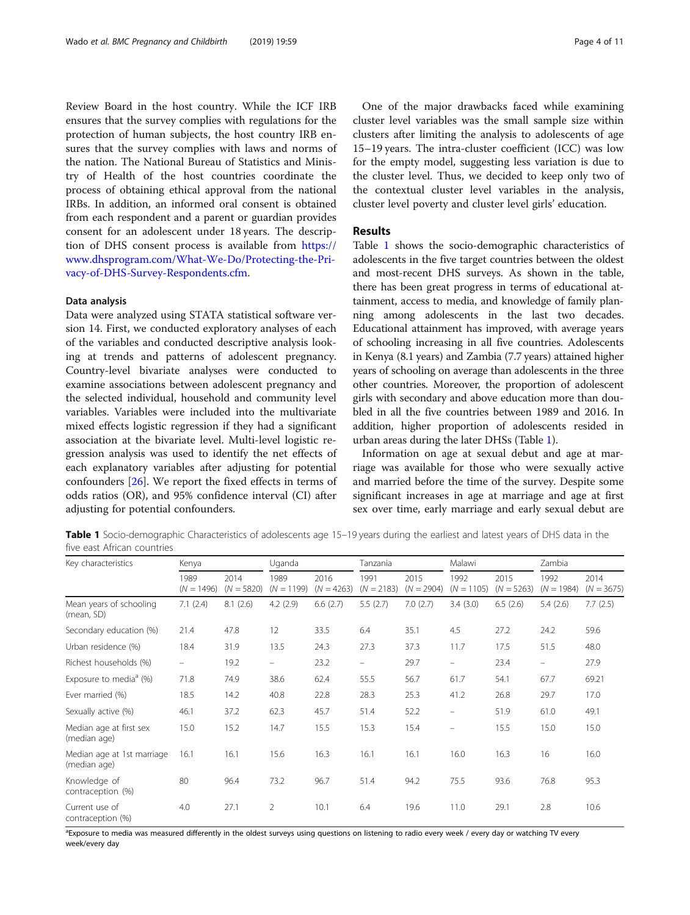<span id="page-3-0"></span>Review Board in the host country. While the ICF IRB ensures that the survey complies with regulations for the protection of human subjects, the host country IRB ensures that the survey complies with laws and norms of the nation. The National Bureau of Statistics and Ministry of Health of the host countries coordinate the process of obtaining ethical approval from the national IRBs. In addition, an informed oral consent is obtained from each respondent and a parent or guardian provides consent for an adolescent under 18 years. The description of DHS consent process is available from [https://](https://www.dhsprogram.com/What-We-Do/Protecting-the-Privacy-of-DHS-Survey-Respondents.cfm) [www.dhsprogram.com/What-We-Do/Protecting-the-Pri](https://www.dhsprogram.com/What-We-Do/Protecting-the-Privacy-of-DHS-Survey-Respondents.cfm)[vacy-of-DHS-Survey-Respondents.cfm.](https://www.dhsprogram.com/What-We-Do/Protecting-the-Privacy-of-DHS-Survey-Respondents.cfm)

## Data analysis

Data were analyzed using STATA statistical software version 14. First, we conducted exploratory analyses of each of the variables and conducted descriptive analysis looking at trends and patterns of adolescent pregnancy. Country-level bivariate analyses were conducted to examine associations between adolescent pregnancy and the selected individual, household and community level variables. Variables were included into the multivariate mixed effects logistic regression if they had a significant association at the bivariate level. Multi-level logistic regression analysis was used to identify the net effects of each explanatory variables after adjusting for potential confounders [[26](#page-10-0)]. We report the fixed effects in terms of odds ratios (OR), and 95% confidence interval (CI) after adjusting for potential confounders.

One of the major drawbacks faced while examining cluster level variables was the small sample size within clusters after limiting the analysis to adolescents of age 15–19 years. The intra-cluster coefficient (ICC) was low for the empty model, suggesting less variation is due to the cluster level. Thus, we decided to keep only two of the contextual cluster level variables in the analysis, cluster level poverty and cluster level girls' education.

## Results

Table 1 shows the socio-demographic characteristics of adolescents in the five target countries between the oldest and most-recent DHS surveys. As shown in the table, there has been great progress in terms of educational attainment, access to media, and knowledge of family planning among adolescents in the last two decades. Educational attainment has improved, with average years of schooling increasing in all five countries. Adolescents in Kenya (8.1 years) and Zambia (7.7 years) attained higher years of schooling on average than adolescents in the three other countries. Moreover, the proportion of adolescent girls with secondary and above education more than doubled in all the five countries between 1989 and 2016. In addition, higher proportion of adolescents resided in urban areas during the later DHSs (Table 1).

Information on age at sexual debut and age at marriage was available for those who were sexually active and married before the time of the survey. Despite some significant increases in age at marriage and age at first sex over time, early marriage and early sexual debut are

Table 1 Socio-demographic Characteristics of adolescents age 15–19 years during the earliest and latest years of DHS data in the five east African countries

| Key characteristics                        | Kenya                |                      | Uganda                   |                      | Tanzania             |                      | Malawi                   |                      | Zambia               |                      |
|--------------------------------------------|----------------------|----------------------|--------------------------|----------------------|----------------------|----------------------|--------------------------|----------------------|----------------------|----------------------|
|                                            | 1989<br>$(N = 1496)$ | 2014<br>$(N = 5820)$ | 1989<br>$(N = 1199)$     | 2016<br>$(N = 4263)$ | 1991<br>$(N = 2183)$ | 2015<br>$(N = 2904)$ | 1992<br>$(N = 1105)$     | 2015<br>$(N = 5263)$ | 1992<br>$(N = 1984)$ | 2014<br>$(N = 3675)$ |
| Mean years of schooling<br>(mean, SD)      | 7.1(2.4)             | 8.1(2.6)             | 4.2(2.9)                 | 6.6(2.7)             | 5.5(2.7)             | 7.0(2.7)             | 3.4(3.0)                 | 6.5(2.6)             | 5.4(2.6)             | 7.7(2.5)             |
| Secondary education (%)                    | 21.4                 | 47.8                 | 12                       | 33.5                 | 6.4                  | 35.1                 | 4.5                      | 27.2                 | 24.2                 | 59.6                 |
| Urban residence (%)                        | 18.4                 | 31.9                 | 13.5                     | 24.3                 | 27.3                 | 37.3                 | 11.7                     | 17.5                 | 51.5                 | 48.0                 |
| Richest households (%)                     | $\qquad \qquad -$    | 19.2                 | $\overline{\phantom{0}}$ | 23.2                 | $\qquad \qquad -$    | 29.7                 |                          | 23.4                 | -                    | 27.9                 |
| Exposure to media <sup>a</sup> (%)         | 71.8                 | 74.9                 | 38.6                     | 62.4                 | 55.5                 | 56.7                 | 61.7                     | 54.1                 | 67.7                 | 69.21                |
| Ever married (%)                           | 18.5                 | 14.2                 | 40.8                     | 22.8                 | 28.3                 | 25.3                 | 41.2                     | 26.8                 | 29.7                 | 17.0                 |
| Sexually active (%)                        | 46.1                 | 37.2                 | 62.3                     | 45.7                 | 51.4                 | 52.2                 | $\overline{\phantom{0}}$ | 51.9                 | 61.0                 | 49.1                 |
| Median age at first sex<br>(median age)    | 15.0                 | 15.2                 | 14.7                     | 15.5                 | 15.3                 | 15.4                 | $\overline{\phantom{m}}$ | 15.5                 | 15.0                 | 15.0                 |
| Median age at 1st marriage<br>(median age) | 16.1                 | 16.1                 | 15.6                     | 16.3                 | 16.1                 | 16.1                 | 16.0                     | 16.3                 | 16                   | 16.0                 |
| Knowledge of<br>contraception (%)          | 80                   | 96.4                 | 73.2                     | 96.7                 | 51.4                 | 94.2                 | 75.5                     | 93.6                 | 76.8                 | 95.3                 |
| Current use of<br>contraception (%)        | 4.0                  | 27.1                 | $\overline{2}$           | 10.1                 | 6.4                  | 19.6                 | 11.0                     | 29.1                 | 2.8                  | 10.6                 |

<sup>a</sup>Exposure to media was measured differently in the oldest surveys using questions on listening to radio every week / every day or watching TV every week/every day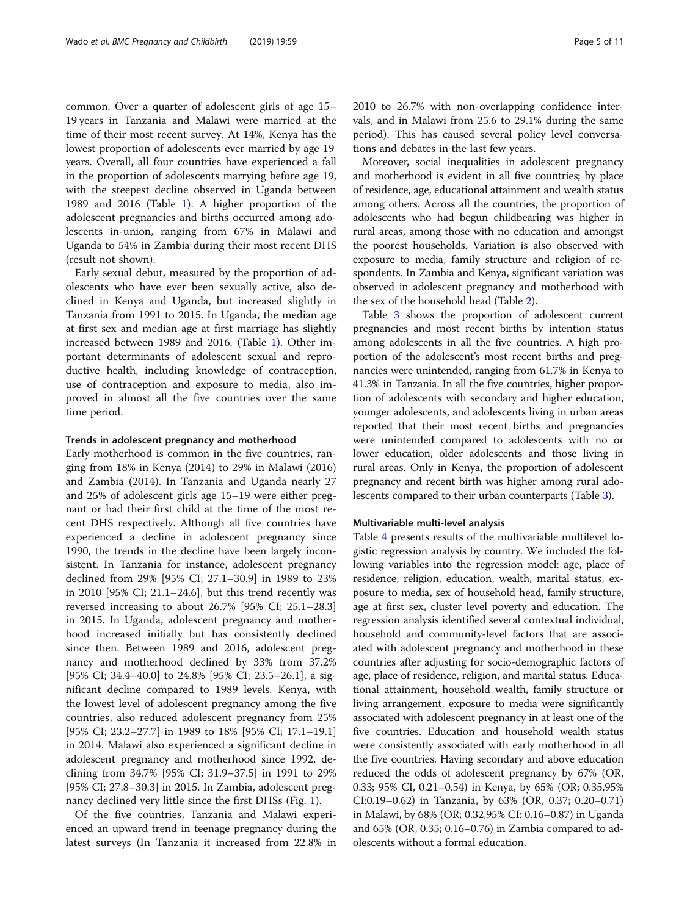common. Over a quarter of adolescent girls of age 15– 19 years in Tanzania and Malawi were married at the time of their most recent survey. At 14%, Kenya has the lowest proportion of adolescents ever married by age 19 years. Overall, all four countries have experienced a fall in the proportion of adolescents marrying before age 19, with the steepest decline observed in Uganda between 1989 and 2016 (Table [1\)](#page-3-0). A higher proportion of the adolescent pregnancies and births occurred among adolescents in-union, ranging from 67% in Malawi and Uganda to 54% in Zambia during their most recent DHS (result not shown).

Early sexual debut, measured by the proportion of adolescents who have ever been sexually active, also declined in Kenya and Uganda, but increased slightly in Tanzania from 1991 to 2015. In Uganda, the median age at first sex and median age at first marriage has slightly increased between 1989 and 2016. (Table [1\)](#page-3-0). Other important determinants of adolescent sexual and reproductive health, including knowledge of contraception, use of contraception and exposure to media, also improved in almost all the five countries over the same time period.

## Trends in adolescent pregnancy and motherhood

Early motherhood is common in the five countries, ranging from 18% in Kenya (2014) to 29% in Malawi (2016) and Zambia (2014). In Tanzania and Uganda nearly 27 and 25% of adolescent girls age 15–19 were either pregnant or had their first child at the time of the most recent DHS respectively. Although all five countries have experienced a decline in adolescent pregnancy since 1990, the trends in the decline have been largely inconsistent. In Tanzania for instance, adolescent pregnancy declined from 29% [95% CI; 27.1–30.9] in 1989 to 23% in 2010 [95% CI; 21.1–24.6], but this trend recently was reversed increasing to about 26.7% [95% CI; 25.1–28.3] in 2015. In Uganda, adolescent pregnancy and motherhood increased initially but has consistently declined since then. Between 1989 and 2016, adolescent pregnancy and motherhood declined by 33% from 37.2% [95% CI; 34.4–40.0] to 24.8% [95% CI; 23.5–26.1], a significant decline compared to 1989 levels. Kenya, with the lowest level of adolescent pregnancy among the five countries, also reduced adolescent pregnancy from 25% [95% CI; 23.2–27.7] in 1989 to 18% [95% CI; 17.1–19.1] in 2014. Malawi also experienced a significant decline in adolescent pregnancy and motherhood since 1992, declining from 34.7% [95% CI; 31.9–37.5] in 1991 to 29% [95% CI; 27.8–30.3] in 2015. In Zambia, adolescent pregnancy declined very little since the first DHSs (Fig. [1](#page-5-0)).

Of the five countries, Tanzania and Malawi experienced an upward trend in teenage pregnancy during the latest surveys (In Tanzania it increased from 22.8% in

2010 to 26.7% with non-overlapping confidence intervals, and in Malawi from 25.6 to 29.1% during the same period). This has caused several policy level conversations and debates in the last few years.

Moreover, social inequalities in adolescent pregnancy and motherhood is evident in all five countries; by place of residence, age, educational attainment and wealth status among others. Across all the countries, the proportion of adolescents who had begun childbearing was higher in rural areas, among those with no education and amongst the poorest households. Variation is also observed with exposure to media, family structure and religion of respondents. In Zambia and Kenya, significant variation was observed in adolescent pregnancy and motherhood with the sex of the household head (Table [2\)](#page-6-0).

Table [3](#page-7-0) shows the proportion of adolescent current pregnancies and most recent births by intention status among adolescents in all the five countries. A high proportion of the adolescent's most recent births and pregnancies were unintended, ranging from 61.7% in Kenya to 41.3% in Tanzania. In all the five countries, higher proportion of adolescents with secondary and higher education, younger adolescents, and adolescents living in urban areas reported that their most recent births and pregnancies were unintended compared to adolescents with no or lower education, older adolescents and those living in rural areas. Only in Kenya, the proportion of adolescent pregnancy and recent birth was higher among rural adolescents compared to their urban counterparts (Table [3](#page-7-0)).

## Multivariable multi-level analysis

Table [4](#page-8-0) presents results of the multivariable multilevel logistic regression analysis by country. We included the following variables into the regression model: age, place of residence, religion, education, wealth, marital status, exposure to media, sex of household head, family structure, age at first sex, cluster level poverty and education. The regression analysis identified several contextual individual, household and community-level factors that are associated with adolescent pregnancy and motherhood in these countries after adjusting for socio-demographic factors of age, place of residence, religion, and marital status. Educational attainment, household wealth, family structure or living arrangement, exposure to media were significantly associated with adolescent pregnancy in at least one of the five countries. Education and household wealth status were consistently associated with early motherhood in all the five countries. Having secondary and above education reduced the odds of adolescent pregnancy by 67% (OR, 0.33; 95% CI, 0.21–0.54) in Kenya, by 65% (OR; 0.35,95% CI:0.19–0.62) in Tanzania, by 63% (OR, 0.37; 0.20–0.71) in Malawi, by 68% (OR; 0.32,95% CI: 0.16–0.87) in Uganda and 65% (OR, 0.35; 0.16–0.76) in Zambia compared to adolescents without a formal education.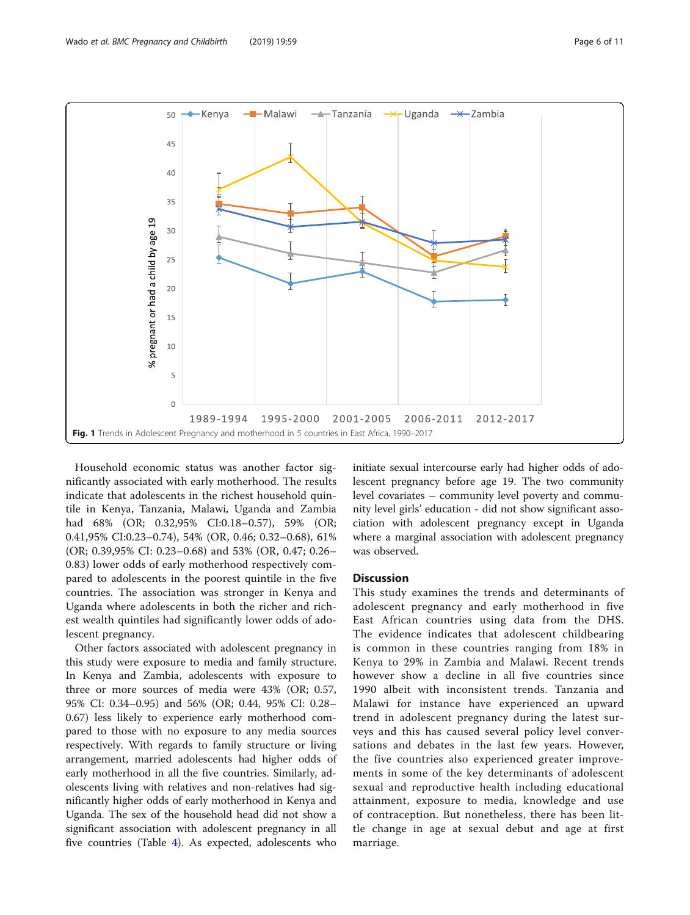<span id="page-5-0"></span>

Household economic status was another factor significantly associated with early motherhood. The results indicate that adolescents in the richest household quintile in Kenya, Tanzania, Malawi, Uganda and Zambia had 68% (OR; 0.32,95% CI:0.18–0.57), 59% (OR; 0.41,95% CI:0.23–0.74), 54% (OR, 0.46; 0.32–0.68), 61% (OR; 0.39,95% CI: 0.23–0.68) and 53% (OR, 0.47; 0.26– 0.83) lower odds of early motherhood respectively compared to adolescents in the poorest quintile in the five countries. The association was stronger in Kenya and Uganda where adolescents in both the richer and richest wealth quintiles had significantly lower odds of adolescent pregnancy.

Other factors associated with adolescent pregnancy in this study were exposure to media and family structure. In Kenya and Zambia, adolescents with exposure to three or more sources of media were 43% (OR; 0.57, 95% CI: 0.34–0.95) and 56% (OR; 0.44, 95% CI: 0.28– 0.67) less likely to experience early motherhood compared to those with no exposure to any media sources respectively. With regards to family structure or living arrangement, married adolescents had higher odds of early motherhood in all the five countries. Similarly, adolescents living with relatives and non-relatives had significantly higher odds of early motherhood in Kenya and Uganda. The sex of the household head did not show a significant association with adolescent pregnancy in all five countries (Table [4](#page-8-0)). As expected, adolescents who initiate sexual intercourse early had higher odds of adolescent pregnancy before age 19. The two community level covariates – community level poverty and community level girls' education - did not show significant association with adolescent pregnancy except in Uganda where a marginal association with adolescent pregnancy was observed.

## **Discussion**

This study examines the trends and determinants of adolescent pregnancy and early motherhood in five East African countries using data from the DHS. The evidence indicates that adolescent childbearing is common in these countries ranging from 18% in Kenya to 29% in Zambia and Malawi. Recent trends however show a decline in all five countries since 1990 albeit with inconsistent trends. Tanzania and Malawi for instance have experienced an upward trend in adolescent pregnancy during the latest surveys and this has caused several policy level conversations and debates in the last few years. However, the five countries also experienced greater improvements in some of the key determinants of adolescent sexual and reproductive health including educational attainment, exposure to media, knowledge and use of contraception. But nonetheless, there has been little change in age at sexual debut and age at first marriage.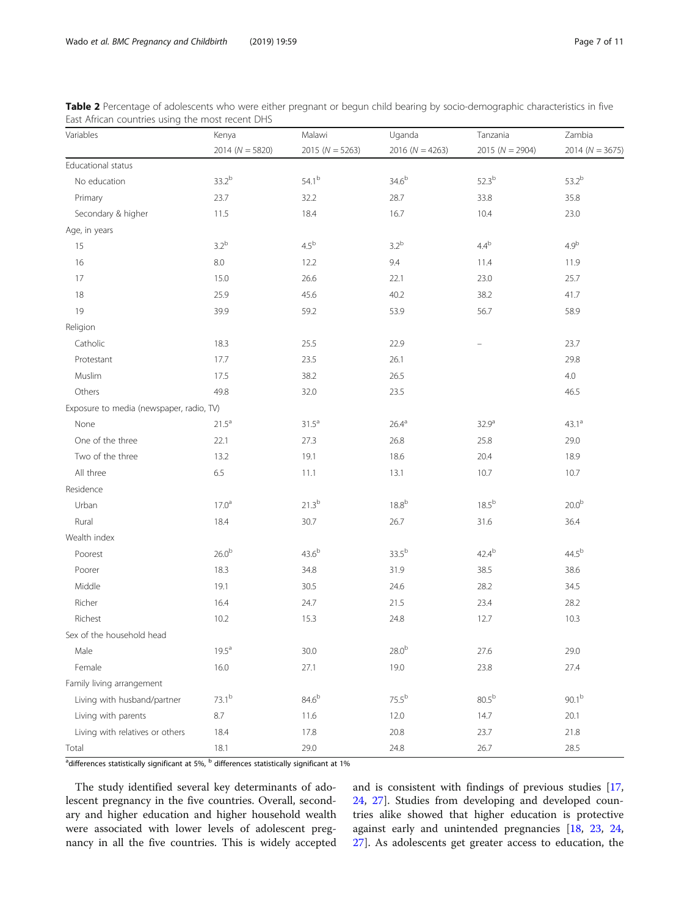<span id="page-6-0"></span>

| Table 2 Percentage of adolescents who were either pregnant or begun child bearing by socio-demographic characteristics in five |  |
|--------------------------------------------------------------------------------------------------------------------------------|--|
| East African countries using the most recent DHS                                                                               |  |

| Variables                                | Kenya               | Malawi              | Uganda              | Tanzania            | Zambia            |
|------------------------------------------|---------------------|---------------------|---------------------|---------------------|-------------------|
|                                          | 2014 ( $N = 5820$ ) | 2015 ( $N = 5263$ ) | 2016 ( $N = 4263$ ) | 2015 ( $N = 2904$ ) | $2014 (N = 3675)$ |
| Educational status                       |                     |                     |                     |                     |                   |
| No education                             | $33.2^{b}$          | $54.1^{b}$          | 34.6 <sup>b</sup>   | $52.3^{b}$          | 53.2 <sup>b</sup> |
| Primary                                  | 23.7                | 32.2                | 28.7                | 33.8                | 35.8              |
| Secondary & higher                       | 11.5                | 18.4                | 16.7                | 10.4                | 23.0              |
| Age, in years                            |                     |                     |                     |                     |                   |
| 15                                       | $3.2^b$             | $4.5^{\rm b}$       | 3.2 <sup>b</sup>    | $4.4^{\mathrm{b}}$  | 4.9 <sup>b</sup>  |
| 16                                       | 8.0                 | 12.2                | 9.4                 | 11.4                | 11.9              |
| 17                                       | 15.0                | 26.6                | 22.1                | 23.0                | 25.7              |
| 18                                       | 25.9                | 45.6                | 40.2                | 38.2                | 41.7              |
| 19                                       | 39.9                | 59.2                | 53.9                | 56.7                | 58.9              |
| Religion                                 |                     |                     |                     |                     |                   |
| Catholic                                 | 18.3                | 25.5                | 22.9                |                     | 23.7              |
| Protestant                               | 17.7                | 23.5                | 26.1                |                     | 29.8              |
| Muslim                                   | 17.5                | 38.2                | 26.5                |                     | 4.0               |
| Others                                   | 49.8                | 32.0                | 23.5                |                     | 46.5              |
| Exposure to media (newspaper, radio, TV) |                     |                     |                     |                     |                   |
| None                                     | $21.5^a$            | $31.5^a$            | 26.4 <sup>a</sup>   | 32.9 <sup>a</sup>   | $43.1^a$          |
| One of the three                         | 22.1                | 27.3                | 26.8                | 25.8                | 29.0              |
| Two of the three                         | 13.2                | 19.1                | 18.6                | 20.4                | 18.9              |
| All three                                | 6.5                 | 11.1                | 13.1                | 10.7                | 10.7              |
| Residence                                |                     |                     |                     |                     |                   |
| Urban                                    | $17.0^{\rm a}$      | $21.3^{b}$          | 18.8 <sup>b</sup>   | $18.5^{b}$          | 20.0 <sup>b</sup> |
| Rural                                    | 18.4                | 30.7                | 26.7                | 31.6                | 36.4              |
| Wealth index                             |                     |                     |                     |                     |                   |
| Poorest                                  | 26.0 <sup>b</sup>   | 43.6 <sup>b</sup>   | $33.5^{b}$          | $42.4^{b}$          | $44.5^{b}$        |
| Poorer                                   | 18.3                | 34.8                | 31.9                | 38.5                | 38.6              |
| Middle                                   | 19.1                | 30.5                | 24.6                | 28.2                | 34.5              |
| Richer                                   | 16.4                | 24.7                | 21.5                | 23.4                | 28.2              |
| Richest                                  | 10.2                | 15.3                | 24.8                | 12.7                | $10.3$            |
| Sex of the household head                |                     |                     |                     |                     |                   |
| Male                                     | $19.5^a$            | 30.0                | $28.0^{\rm b}$      | 27.6                | 29.0              |
| Female                                   | 16.0                | 27.1                | 19.0                | 23.8                | 27.4              |
| Family living arrangement                |                     |                     |                     |                     |                   |
| Living with husband/partner              | $73.1^{b}$          | 84.6 <sup>b</sup>   | $75.5^{b}$          | 80.5 <sup>b</sup>   | $90.1^{b}$        |
| Living with parents                      | $8.7\,$             | 11.6                | 12.0                | 14.7                | 20.1              |
| Living with relatives or others          | 18.4                | 17.8                | 20.8                | 23.7                | 21.8              |
| Total                                    | 18.1                | 29.0                | 24.8                | 26.7                | 28.5              |

 $^{\rm a}$ differences statistically significant at 5%,  $^{\rm b}$  differences statistically significant at 1%

The study identified several key determinants of adolescent pregnancy in the five countries. Overall, secondary and higher education and higher household wealth were associated with lower levels of adolescent pregnancy in all the five countries. This is widely accepted and is consistent with findings of previous studies [[17](#page-10-0), [24,](#page-10-0) [27](#page-10-0)]. Studies from developing and developed countries alike showed that higher education is protective against early and unintended pregnancies [\[18,](#page-10-0) [23](#page-10-0), [24](#page-10-0), [27\]](#page-10-0). As adolescents get greater access to education, the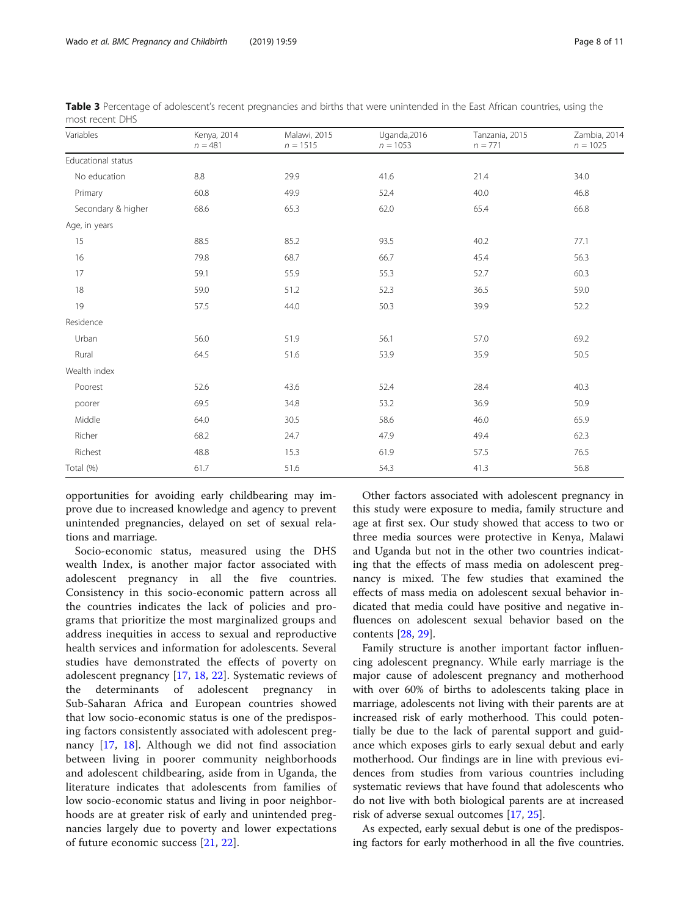| Variables<br>Kenya, 2014<br>$n = 481$ |      | Malawi, 2015<br>$n = 1515$ | Uganda, 2016<br>$n = 1053$ | Tanzania, 2015<br>$n = 771$ | Zambia, 2014<br>$n = 1025$ |  |
|---------------------------------------|------|----------------------------|----------------------------|-----------------------------|----------------------------|--|
| Educational status                    |      |                            |                            |                             |                            |  |
| No education                          | 8.8  | 29.9                       | 41.6                       | 21.4                        | 34.0                       |  |
| Primary                               | 60.8 | 49.9                       | 52.4                       | 40.0                        | 46.8                       |  |
| Secondary & higher                    | 68.6 | 65.3                       | 62.0                       | 65.4                        | 66.8                       |  |
| Age, in years                         |      |                            |                            |                             |                            |  |
| 15                                    | 88.5 | 85.2                       | 93.5                       | 40.2                        | 77.1                       |  |
| 16                                    | 79.8 | 68.7                       | 66.7                       | 45.4                        | 56.3                       |  |
| 17                                    | 59.1 | 55.9                       | 55.3                       | 52.7                        | 60.3                       |  |
| 18                                    | 59.0 | 51.2                       | 52.3                       | 36.5                        | 59.0                       |  |
| 19                                    | 57.5 | 44.0                       | 50.3                       | 39.9                        | 52.2                       |  |
| Residence                             |      |                            |                            |                             |                            |  |
| Urban                                 | 56.0 | 51.9                       | 56.1                       | 57.0                        | 69.2                       |  |
| Rural                                 | 64.5 | 51.6                       | 53.9                       | 35.9                        | 50.5                       |  |
| Wealth index                          |      |                            |                            |                             |                            |  |
| Poorest                               | 52.6 | 43.6                       | 52.4                       | 28.4                        | 40.3                       |  |
| poorer                                | 69.5 | 34.8                       | 53.2                       | 36.9                        | 50.9                       |  |
| Middle                                | 64.0 | 30.5                       | 58.6                       | 46.0                        | 65.9                       |  |
| Richer                                | 68.2 | 24.7                       | 47.9                       | 49.4                        | 62.3                       |  |
| Richest                               | 48.8 | 15.3                       | 61.9                       | 57.5                        | 76.5                       |  |
| Total (%)                             | 61.7 | 51.6                       | 54.3                       | 41.3                        | 56.8                       |  |

<span id="page-7-0"></span>

| Table 3 Percentage of adolescent's recent pregnancies and births that were unintended in the East African countries, using the |  |  |
|--------------------------------------------------------------------------------------------------------------------------------|--|--|
| most recent DHS                                                                                                                |  |  |

opportunities for avoiding early childbearing may improve due to increased knowledge and agency to prevent unintended pregnancies, delayed on set of sexual relations and marriage.

Socio-economic status, measured using the DHS wealth Index, is another major factor associated with adolescent pregnancy in all the five countries. Consistency in this socio-economic pattern across all the countries indicates the lack of policies and programs that prioritize the most marginalized groups and address inequities in access to sexual and reproductive health services and information for adolescents. Several studies have demonstrated the effects of poverty on adolescent pregnancy [\[17](#page-10-0), [18,](#page-10-0) [22\]](#page-10-0). Systematic reviews of the determinants of adolescent pregnancy in Sub-Saharan Africa and European countries showed that low socio-economic status is one of the predisposing factors consistently associated with adolescent pregnancy [\[17](#page-10-0), [18](#page-10-0)]. Although we did not find association between living in poorer community neighborhoods and adolescent childbearing, aside from in Uganda, the literature indicates that adolescents from families of low socio-economic status and living in poor neighborhoods are at greater risk of early and unintended pregnancies largely due to poverty and lower expectations of future economic success [[21](#page-10-0), [22](#page-10-0)].

Other factors associated with adolescent pregnancy in this study were exposure to media, family structure and age at first sex. Our study showed that access to two or three media sources were protective in Kenya, Malawi and Uganda but not in the other two countries indicating that the effects of mass media on adolescent pregnancy is mixed. The few studies that examined the effects of mass media on adolescent sexual behavior indicated that media could have positive and negative influences on adolescent sexual behavior based on the contents [[28,](#page-10-0) [29\]](#page-10-0).

Family structure is another important factor influencing adolescent pregnancy. While early marriage is the major cause of adolescent pregnancy and motherhood with over 60% of births to adolescents taking place in marriage, adolescents not living with their parents are at increased risk of early motherhood. This could potentially be due to the lack of parental support and guidance which exposes girls to early sexual debut and early motherhood. Our findings are in line with previous evidences from studies from various countries including systematic reviews that have found that adolescents who do not live with both biological parents are at increased risk of adverse sexual outcomes [[17](#page-10-0), [25](#page-10-0)].

As expected, early sexual debut is one of the predisposing factors for early motherhood in all the five countries.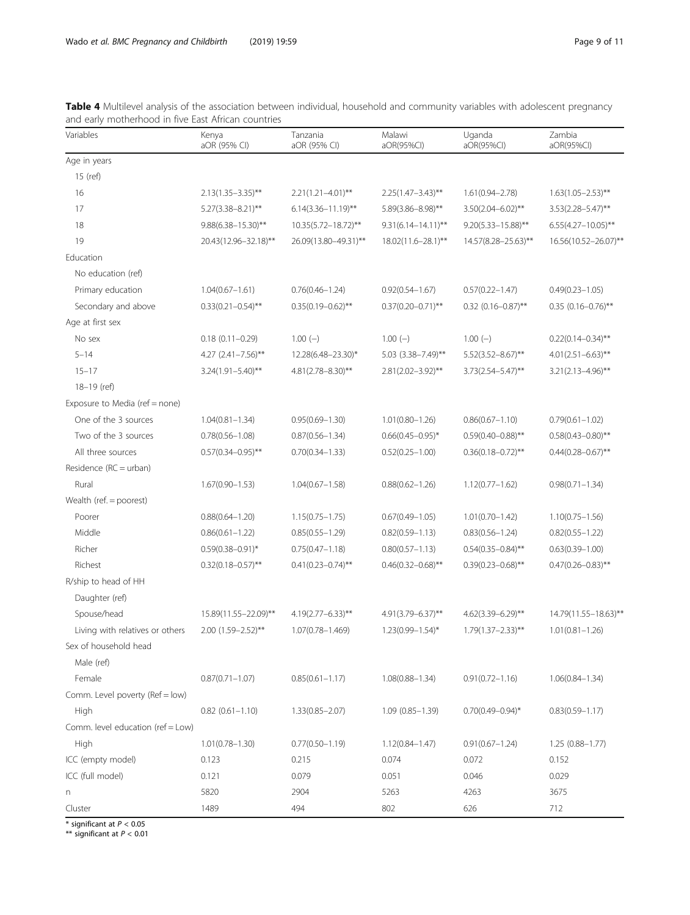| Variables                         | Kenya<br>aOR (95% CI)   | Tanzania<br>aOR (95% CI) | Malawi<br>aOR(95%CI)      | Uganda<br>aOR(95%CI)    | Zambia<br>aOR(95%CI)    |
|-----------------------------------|-------------------------|--------------------------|---------------------------|-------------------------|-------------------------|
| Age in years                      |                         |                          |                           |                         |                         |
| 15 (ref)                          |                         |                          |                           |                         |                         |
| 16                                | $2.13(1.35 - 3.35)$ **  | $2.21(1.21 - 4.01)$ **   | $2.25(1.47 - 3.43)$ **    | $1.61(0.94 - 2.78)$     | $1.63(1.05 - 2.53)$ **  |
| 17                                | $5.27(3.38 - 8.21)$ **  | $6.14(3.36 - 11.19)$ **  | 5.89(3.86-8.98)**         | $3.50(2.04 - 6.02)$ **  | $3.53(2.28 - 5.47)$ **  |
| 18                                | $9.88(6.38 - 15.30)$ ** | 10.35(5.72-18.72)**      | $9.31(6.14 - 14.11)^{**}$ | $9.20(5.33 - 15.88)$ ** | $6.55(4.27 - 10.05)$ ** |
| 19                                | 20.43(12.96-32.18)**    | 26.09(13.80-49.31)**     | 18.02(11.6-28.1)**        | 14.57(8.28-25.63)**     | 16.56(10.52-26.07)**    |
| Education                         |                         |                          |                           |                         |                         |
| No education (ref)                |                         |                          |                           |                         |                         |
| Primary education                 | $1.04(0.67 - 1.61)$     | $0.76(0.46 - 1.24)$      | $0.92(0.54 - 1.67)$       | $0.57(0.22 - 1.47)$     | $0.49(0.23 - 1.05)$     |
| Secondary and above               | $0.33(0.21 - 0.54)$ **  | $0.35(0.19 - 0.62)$ **   | $0.37(0.20 - 0.71)$ **    | $0.32$ (0.16-0.87)**    | $0.35$ (0.16-0.76)**    |
| Age at first sex                  |                         |                          |                           |                         |                         |
| No sex                            | $0.18(0.11 - 0.29)$     | $1.00(-)$                | $1.00(-)$                 | $1.00(-)$               | $0.22(0.14 - 0.34)$ **  |
| $5 - 14$                          | 4.27 $(2.41 - 7.56)$ ** | 12.28(6.48-23.30)*       | 5.03 (3.38-7.49)**        | $5.52(3.52 - 8.67)$ **  | $4.01(2.51 - 6.63)$ **  |
| $15 - 17$                         | $3.24(1.91 - 5.40)$ **  | $4.81(2.78 - 8.30)$ **   | 2.81(2.02-3.92)**         | $3.73(2.54 - 5.47)$ **  | $3.21(2.13 - 4.96)$ **  |
| 18-19 (ref)                       |                         |                          |                           |                         |                         |
| Exposure to Media (ref = none)    |                         |                          |                           |                         |                         |
| One of the 3 sources              | $1.04(0.81 - 1.34)$     | $0.95(0.69 - 1.30)$      | $1.01(0.80 - 1.26)$       | $0.86(0.67 - 1.10)$     | $0.79(0.61 - 1.02)$     |
| Two of the 3 sources              | $0.78(0.56 - 1.08)$     | $0.87(0.56 - 1.34)$      | $0.66(0.45 - 0.95)^*$     | $0.59(0.40 - 0.88)$ **  | $0.58(0.43 - 0.80)$ **  |
| All three sources                 | $0.57(0.34 - 0.95)$ **  | $0.70(0.34 - 1.33)$      | $0.52(0.25 - 1.00)$       | $0.36(0.18 - 0.72)$ **  | $0.44(0.28 - 0.67)$ **  |
| Residence (RC = urban)            |                         |                          |                           |                         |                         |
| Rural                             | $1.67(0.90 - 1.53)$     | $1.04(0.67 - 1.58)$      | $0.88(0.62 - 1.26)$       | $1.12(0.77 - 1.62)$     | $0.98(0.71 - 1.34)$     |
| Wealth (ref. = poorest)           |                         |                          |                           |                         |                         |
| Poorer                            | $0.88(0.64 - 1.20)$     | $1.15(0.75 - 1.75)$      | $0.67(0.49 - 1.05)$       | $1.01(0.70 - 1.42)$     | $1.10(0.75 - 1.56)$     |
| Middle                            | $0.86(0.61 - 1.22)$     | $0.85(0.55 - 1.29)$      | $0.82(0.59 - 1.13)$       | $0.83(0.56 - 1.24)$     | $0.82(0.55 - 1.22)$     |
| Richer                            | $0.59(0.38 - 0.91)^*$   | $0.75(0.47 - 1.18)$      | $0.80(0.57 - 1.13)$       | $0.54(0.35 - 0.84)$ **  | $0.63(0.39 - 1.00)$     |
| Richest                           | $0.32(0.18 - 0.57)$ **  | $0.41(0.23 - 0.74)$ **   | $0.46(0.32 - 0.68)$ **    | $0.39(0.23 - 0.68)$ **  | $0.47(0.26 - 0.83)$ **  |
| R/ship to head of HH              |                         |                          |                           |                         |                         |
| Daughter (ref)                    |                         |                          |                           |                         |                         |
| Spouse/head                       | 15.89(11.55-22.09)**    | $4.19(2.77 - 6.33)$ **   | 4.91(3.79-6.37)**         | 4.62(3.39-6.29)**       | 14.79(11.55-18.63)**    |
| Living with relatives or others   | $2.00(1.59 - 2.52)$ **  | 1.07(0.78-1.469)         | $1.23(0.99 - 1.54)^*$     | $1.79(1.37 - 2.33)$ **  | $1.01(0.81 - 1.26)$     |
| Sex of household head             |                         |                          |                           |                         |                         |
| Male (ref)                        |                         |                          |                           |                         |                         |
| Female                            | $0.87(0.71 - 1.07)$     | $0.85(0.61 - 1.17)$      | $1.08(0.88 - 1.34)$       | $0.91(0.72 - 1.16)$     | $1.06(0.84 - 1.34)$     |
| Comm. Level poverty (Ref = low)   |                         |                          |                           |                         |                         |
| High                              | $0.82$ $(0.61 - 1.10)$  | $1.33(0.85 - 2.07)$      | $1.09(0.85 - 1.39)$       | $0.70(0.49 - 0.94)^*$   | $0.83(0.59 - 1.17)$     |
| Comm. level education (ref = Low) |                         |                          |                           |                         |                         |
| High                              | $1.01(0.78 - 1.30)$     | $0.77(0.50 - 1.19)$      | $1.12(0.84 - 1.47)$       | $0.91(0.67 - 1.24)$     | $1.25(0.88 - 1.77)$     |
| ICC (empty model)                 | 0.123                   | 0.215                    | 0.074                     | 0.072                   | 0.152                   |
| ICC (full model)                  | 0.121                   | 0.079                    | 0.051                     | 0.046                   | 0.029                   |
| n                                 | 5820                    | 2904                     | 5263                      | 4263                    | 3675                    |
| Cluster                           | 1489                    | 494                      | 802                       | 626                     | 712                     |

<span id="page-8-0"></span>Table 4 Multilevel analysis of the association between individual, household and community variables with adolescent pregnancy and early motherhood in five East African countries

 $*$  significant at  $P < 0.05$ 

\*\* significant at  $P < 0.01$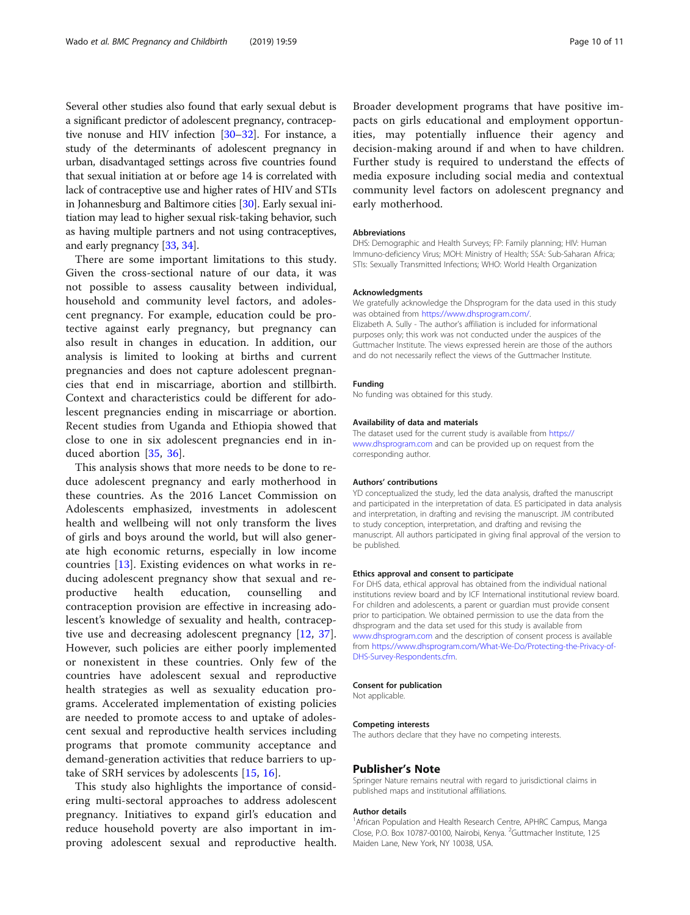Several other studies also found that early sexual debut is a significant predictor of adolescent pregnancy, contraceptive nonuse and HIV infection [\[30](#page-10-0)–[32\]](#page-10-0). For instance, a study of the determinants of adolescent pregnancy in urban, disadvantaged settings across five countries found that sexual initiation at or before age 14 is correlated with lack of contraceptive use and higher rates of HIV and STIs in Johannesburg and Baltimore cities [\[30](#page-10-0)]. Early sexual initiation may lead to higher sexual risk-taking behavior, such as having multiple partners and not using contraceptives, and early pregnancy [[33](#page-10-0), [34\]](#page-10-0).

There are some important limitations to this study. Given the cross-sectional nature of our data, it was not possible to assess causality between individual, household and community level factors, and adolescent pregnancy. For example, education could be protective against early pregnancy, but pregnancy can also result in changes in education. In addition, our analysis is limited to looking at births and current pregnancies and does not capture adolescent pregnancies that end in miscarriage, abortion and stillbirth. Context and characteristics could be different for adolescent pregnancies ending in miscarriage or abortion. Recent studies from Uganda and Ethiopia showed that close to one in six adolescent pregnancies end in induced abortion [\[35](#page-10-0), [36](#page-10-0)].

This analysis shows that more needs to be done to reduce adolescent pregnancy and early motherhood in these countries. As the 2016 Lancet Commission on Adolescents emphasized, investments in adolescent health and wellbeing will not only transform the lives of girls and boys around the world, but will also generate high economic returns, especially in low income countries [[13](#page-10-0)]. Existing evidences on what works in reducing adolescent pregnancy show that sexual and reproductive health education, counselling and contraception provision are effective in increasing adolescent's knowledge of sexuality and health, contraceptive use and decreasing adolescent pregnancy [[12,](#page-10-0) [37](#page-10-0)]. However, such policies are either poorly implemented or nonexistent in these countries. Only few of the countries have adolescent sexual and reproductive health strategies as well as sexuality education programs. Accelerated implementation of existing policies are needed to promote access to and uptake of adolescent sexual and reproductive health services including programs that promote community acceptance and demand-generation activities that reduce barriers to uptake of SRH services by adolescents [[15,](#page-10-0) [16\]](#page-10-0).

This study also highlights the importance of considering multi-sectoral approaches to address adolescent pregnancy. Initiatives to expand girl's education and reduce household poverty are also important in improving adolescent sexual and reproductive health.

Broader development programs that have positive impacts on girls educational and employment opportunities, may potentially influence their agency and decision-making around if and when to have children. Further study is required to understand the effects of media exposure including social media and contextual community level factors on adolescent pregnancy and early motherhood.

#### **Abbreviations**

DHS: Demographic and Health Surveys; FP: Family planning; HIV: Human Immuno-deficiency Virus; MOH: Ministry of Health; SSA: Sub-Saharan Africa; STIs: Sexually Transmitted Infections; WHO: World Health Organization

#### Acknowledgments

We gratefully acknowledge the Dhsprogram for the data used in this study was obtained from <https://www.dhsprogram.com/>. Elizabeth A. Sully - The author's affiliation is included for informational

purposes only; this work was not conducted under the auspices of the Guttmacher Institute. The views expressed herein are those of the authors and do not necessarily reflect the views of the Guttmacher Institute.

### Funding

No funding was obtained for this study.

#### Availability of data and materials

The dataset used for the current study is available from [https://](https://www.dhsprogram.com) [www.dhsprogram.com](https://www.dhsprogram.com) and can be provided up on request from the corresponding author.

#### Authors' contributions

YD conceptualized the study, led the data analysis, drafted the manuscript and participated in the interpretation of data. ES participated in data analysis and interpretation, in drafting and revising the manuscript. JM contributed to study conception, interpretation, and drafting and revising the manuscript. All authors participated in giving final approval of the version to be published.

#### Ethics approval and consent to participate

For DHS data, ethical approval has obtained from the individual national institutions review board and by ICF International institutional review board. For children and adolescents, a parent or guardian must provide consent prior to participation. We obtained permission to use the data from the dhsprogram and the data set used for this study is available from [www.dhsprogram.com](http://www.dhsprogram.com) and the description of consent process is available from [https://www.dhsprogram.com/What-We-Do/Protecting-the-Privacy-of-](https://www.dhsprogram.com/What-We-Do/Protecting-the-Privacy-of-DHS-Survey-Respondents.cfm)[DHS-Survey-Respondents.cfm](https://www.dhsprogram.com/What-We-Do/Protecting-the-Privacy-of-DHS-Survey-Respondents.cfm).

#### Consent for publication

Not applicable.

#### Competing interests

The authors declare that they have no competing interests.

#### Publisher's Note

Springer Nature remains neutral with regard to jurisdictional claims in published maps and institutional affiliations.

#### Author details

<sup>1</sup> African Population and Health Research Centre, APHRC Campus, Manga Close, P.O. Box 10787-00100, Nairobi, Kenya. <sup>2</sup>Guttmacher Institute, 125 Maiden Lane, New York, NY 10038, USA.